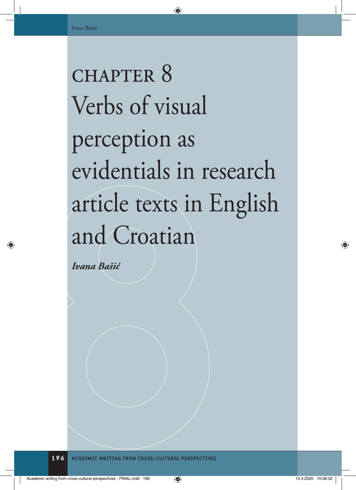# CHAPTER 8 Verbs of visual perception as evidentials in research article texts in English and Croatian

*Ivana Bašić*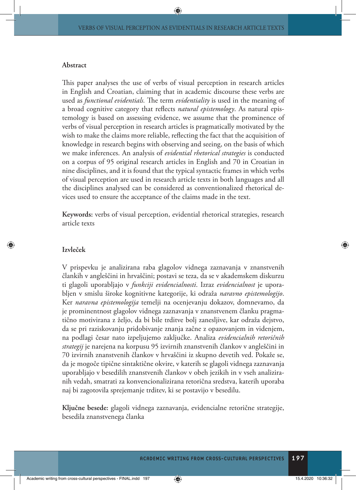#### **Abstract**

This paper analyses the use of verbs of visual perception in research articles in English and Croatian, claiming that in academic discourse these verbs are used as *functional evidentials.* The term *evidentiality* is used in the meaning of a broad cognitive category that reflects *natural epistemology*. As natural epistemology is based on assessing evidence, we assume that the prominence of verbs of visual perception in research articles is pragmatically motivated by the wish to make the claims more reliable, reflecting the fact that the acquisition of knowledge in research begins with observing and seeing, on the basis of which we make inferences. An analysis of *evidential rhetorical strategies* is conducted on a corpus of 95 original research articles in English and 70 in Croatian in nine disciplines, and it is found that the typical syntactic frames in which verbs of visual perception are used in research article texts in both languages and all the disciplines analysed can be considered as conventionalized rhetorical devices used to ensure the acceptance of the claims made in the text.

**Keywords:** verbs of visual perception, evidential rhetorical strategies, research article texts

#### **Izvleček**

V prispevku je analizirana raba glagolov vidnega zaznavanja v znanstvenih člankih v angleščini in hrvaščini; postavi se teza, da se v akademskem diskurzu ti glagoli uporabljajo v *funkciji evidencialnosti*. Izraz *evidencialnost* je uporabljen v smislu široke kognitivne kategorije, ki odraža *naravno epistemologijo*. Ker *naravna epistemologija* temelji na ocenjevanju dokazov, domnevamo, da je prominentnost glagolov vidnega zaznavanja v znanstvenem članku pragmatično motivirana z željo, da bi bile trditve bolj zanesljive, kar odraža dejstvo, da se pri raziskovanju pridobivanje znanja začne z opazovanjem in videnjem, na podlagi česar nato izpeljujemo zaključke. Analiza *evidencialnih retoričnih strategij* je narejena na korpusu 95 izvirnih znanstvenih člankov v angleščini in 70 izvirnih znanstvenih člankov v hrvaščini iz skupno devetih ved. Pokaže se, da je mogoče tipične sintaktične okvire, v katerih se glagoli vidnega zaznavanja uporabljajo v besedilih znanstvenih člankov v obeh jezikih in v vseh analiziranih vedah, smatrati za konvencionalizirana retorična sredstva, katerih uporaba naj bi zagotovila sprejemanje trditev, ki se postavijo v besedilu.

**Ključne besede:** glagoli vidnega zaznavanja, evidencialne retorične strategije, besedila znanstvenega članka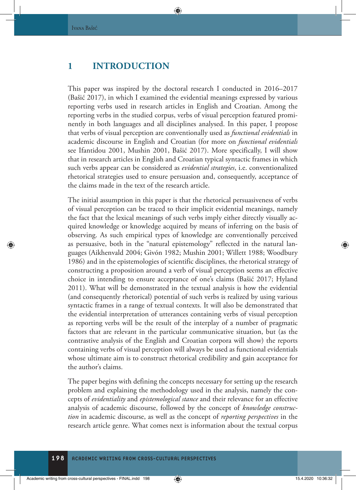# **1 INTRODUCTION**

This paper was inspired by the doctoral research I conducted in 2016–2017 (Bašić 2017), in which I examined the evidential meanings expressed by various reporting verbs used in research articles in English and Croatian. Among the reporting verbs in the studied corpus, verbs of visual perception featured prominently in both languages and all disciplines analysed. In this paper, I propose that verbs of visual perception are conventionally used as *functional evidentials* in academic discourse in English and Croatian (for more on *functional evidentials*  see Ifantidou 2001, Mushin 2001, Bašić 2017). More specifically, I will show that in research articles in English and Croatian typical syntactic frames in which such verbs appear can be considered as *evidential strategies*, i.e. conventionalized rhetorical strategies used to ensure persuasion and, consequently, acceptance of the claims made in the text of the research article.

The initial assumption in this paper is that the rhetorical persuasiveness of verbs of visual perception can be traced to their implicit evidential meanings, namely the fact that the lexical meanings of such verbs imply either directly visually acquired knowledge or knowledge acquired by means of inferring on the basis of observing. As such empirical types of knowledge are conventionally perceived as persuasive, both in the "natural epistemology" reflected in the natural languages (Aikhenvald 2004; Givón 1982; Mushin 2001; Willett 1988; Woodbury 1986) and in the epistemologies of scientific disciplines, the rhetorical strategy of constructing a proposition around a verb of visual perception seems an effective choice in intending to ensure acceptance of one's claims (Bašić 2017; Hyland 2011). What will be demonstrated in the textual analysis is how the evidential (and consequently rhetorical) potential of such verbs is realized by using various syntactic frames in a range of textual contexts. It will also be demonstrated that the evidential interpretation of utterances containing verbs of visual perception as reporting verbs will be the result of the interplay of a number of pragmatic factors that are relevant in the particular communicative situation, but (as the contrastive analysis of the English and Croatian corpora will show) the reports containing verbs of visual perception will always be used as functional evidentials whose ultimate aim is to construct rhetorical credibility and gain acceptance for the author's claims.

The paper begins with defining the concepts necessary for setting up the research problem and explaining the methodology used in the analysis, namely the concepts of *evidentiality* and *epistemological stance* and their relevance for an effective analysis of academic discourse, followed by the concept of *knowledge construction* in academic discourse, as well as the concept of *reporting perspectives* in the research article genre. What comes next is information about the textual corpus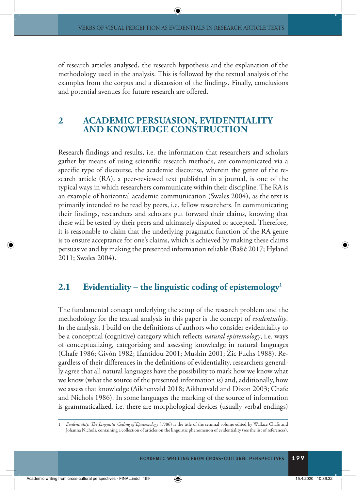of research articles analysed, the research hypothesis and the explanation of the methodology used in the analysis. This is followed by the textual analysis of the examples from the corpus and a discussion of the findings. Finally, conclusions and potential avenues for future research are offered.

# **2 ACADEMIC PERSUASION, EVIDENTIALITY AND KNOWLEDGE CONSTRUCTION**

Research findings and results, i.e. the information that researchers and scholars gather by means of using scientific research methods, are communicated via a specific type of discourse, the academic discourse, wherein the genre of the research article (RA), a peer-reviewed text published in a journal, is one of the typical ways in which researchers communicate within their discipline. The RA is an example of horizontal academic communication (Swales 2004), as the text is primarily intended to be read by peers, i.e. fellow researchers. In communicating their findings, researchers and scholars put forward their claims, knowing that these will be tested by their peers and ultimately disputed or accepted. Therefore, it is reasonable to claim that the underlying pragmatic function of the RA genre is to ensure acceptance for one's claims, which is achieved by making these claims persuasive and by making the presented information reliable (Bašić 2017; Hyland 2011; Swales 2004).

# **2.1 Evidentiality – the linguistic coding of epistemology1**

The fundamental concept underlying the setup of the research problem and the methodology for the textual analysis in this paper is the concept of *evidentiality*. In the analysis, I build on the definitions of authors who consider evidentiality to be a conceptual (cognitive) category which reflects *natural epistemology*, i.e. ways of conceptualizing, categorizing and assessing knowledge in natural languages (Chafe 1986; Givón 1982; Ifantidou 2001; Mushin 2001; Žic Fuchs 1988). Regardless of their differences in the definitions of evidentiality, researchers generally agree that all natural languages have the possibility to mark how we know what we know (what the source of the presented information is) and, additionally, how we assess that knowledge (Aikhenvald 2018; Aikhenvald and Dixon 2003; Chafe and Nichols 1986). In some languages the marking of the source of information is grammaticalized, i.e. there are morphological devices (usually verbal endings)

<sup>1</sup> *Evidentiality: The Linguistic Coding of Epistemology* (1986) is the title of the seminal volume edited by Wallace Chafe and Johanna Nichols, containing a collection of articles on the linguistic phenomenon of evidentiality (see the list of references).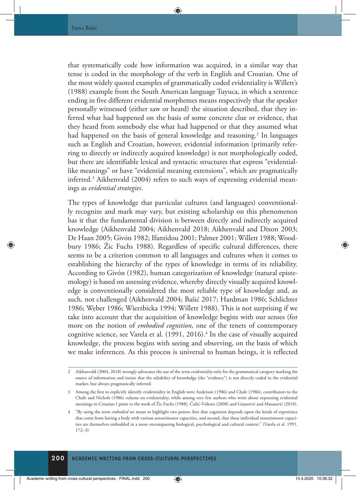that systematically code how information was acquired, in a similar way that tense is coded in the morphology of the verb in English and Croatian. One of the most widely quoted examples of grammatically coded evidentiality is Willett's (1988) example from the South American language Tuyuca, in which a sentence ending in five different evidential morphemes means respectively that the speaker personally witnessed (either saw or heard) the situation described, that they inferred what had happened on the basis of some concrete clue or evidence, that they heard from somebody else what had happened or that they assumed what had happened on the basis of general knowledge and reasoning.<sup>2</sup> In languages such as English and Croatian, however, evidential information (primarily referring to directly or indirectly acquired knowledge) is not morphologically coded, but there are identifiable lexical and syntactic structures that express "evidentiallike meanings" or have "evidential meaning extensions", which are pragmatically inferred.3 Aikhenvald (2004) refers to such ways of expressing evidential meanings as *evidential strategies*.

The types of knowledge that particular cultures (and languages) conventionally recognize and mark may vary, but existing scholarship on this phenomenon has it that the fundamental division is between directly and indirectly acquired knowledge (Aikhenvald 2004; Aikhenvald 2018; Aikhenvald and Dixon 2003; De Haan 2005; Givón 1982; Ifantidou 2001; Palmer 2001; Willett 1988; Woodbury 1986; Žic Fuchs 1988). Regardless of specific cultural differences, there seems to be a criterion common to all languages and cultures when it comes to establishing the hierarchy of the types of knowledge in terms of its reliability. According to Givón (1982), human categorization of knowledge (natural epistemology) is based on assessing evidence, whereby directly visually acquired knowledge is conventionally considered the most reliable type of knowledge and, as such, not challenged (Aikhenvald 2004; Bašić 2017; Hardman 1986; Schlichter 1986; Weber 1986; Wierzbicka 1994; Willett 1988). This is not surprising if we take into account that the acquisition of knowledge begins with our senses (for more on the notion of *embodied cognition*, one of the tenets of contemporary cognitive science, see Varela et al. (1991, 2016).<sup>4</sup> In the case of visually acquired knowledge, the process begins with seeing and observing, on the basis of which we make inferences. As this process is universal to human beings, it is reflected

<sup>2</sup> Aikhenvald (2004, 2018) strongly advocates the use of the term *evidentiality* only for the grammatical category marking the source of information and insists that the reliability of knowledge (the "evidence") is not directly coded in the evidential marker, but always pragmatically inferred.

<sup>3</sup> Among the first to explicitly identify evidentiality in English were Anderson (1986) and Chafe (1986), contributors to the Chafe and Nichols (1986) volume on evidentiality, while among very few authors who write about expressing evidential meanings in Croatian I point to the work of Žic Fuchs (1988), Čulić-Viskota (2008) and Gnjatović and Matasović (2010).

<sup>4</sup> "By using the term *embodied* we mean to highlight two points: first that cognition depends upon the kinds of experience that come from having a body with various sensorimotor capacities, and second, that these individual sensorimotor capacities are themselves embedded in a more encompassing biological, psychological and cultural context." (Varela et al. 1991, 172–3)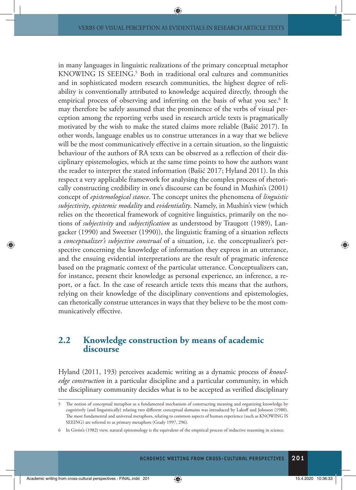in many languages in linguistic realizations of the primary conceptual metaphor KNOWING IS SEEING.<sup>5</sup> Both in traditional oral cultures and communities and in sophisticated modern research communities, the highest degree of reliability is conventionally attributed to knowledge acquired directly, through the empirical process of observing and inferring on the basis of what you see.<sup>6</sup> It may therefore be safely assumed that the prominence of the verbs of visual perception among the reporting verbs used in research article texts is pragmatically motivated by the wish to make the stated claims more reliable (Bašić 2017). In other words, language enables us to construe utterances in a way that we believe will be the most communicatively effective in a certain situation, so the linguistic behaviour of the authors of RA texts can be observed as a reflection of their disciplinary epistemologies, which at the same time points to how the authors want the reader to interpret the stated information (Bašić 2017; Hyland 2011). In this respect a very applicable framework for analysing the complex process of rhetorically constructing credibility in one's discourse can be found in Mushin's (2001) concept of *epistemological stance*. The concept unites the phenomena of *linguistic subjectivity*, *epistemic modality* and *evidentiality*. Namely, in Mushin's view (which relies on the theoretical framework of cognitive linguistics, primarily on the notions of *subjectivity* and *subjectification* as understood by Traugott (1989), Langacker (1990) and Sweetser (1990)), the linguistic framing of a situation reflects a *conceptualizer's subjective construal* of a situation, i.e. the conceptualizer's perspective concerning the knowledge of information they express in an utterance, and the ensuing evidential interpretations are the result of pragmatic inference based on the pragmatic context of the particular utterance. Conceptualizers can, for instance, present their knowledge as personal experience, an inference, a report, or a fact. In the case of research article texts this means that the authors, relying on their knowledge of the disciplinary conventions and epistemologies, can rhetorically construe utterances in ways that they believe to be the most communicatively effective.

# **2.2 Knowledge construction by means of academic discourse**

Hyland (2011, 193) perceives academic writing as a dynamic process of *knowledge construction* in a particular discipline and a particular community, in which the disciplinary community decides what is to be accepted as verified disciplinary

<sup>5</sup> The notion of conceptual metaphor as a fundamental mechanism of constructing meaning and organizing knowledge by cognitively (and linguistically) relating two different conceptual domains was introduced by Lakoff and Johnson (1980). The most fundamental and universal metaphors, relating to common aspects of human experience (such as KNOWING IS SEEING) are referred to as primary metaphors (Grady 1997, 296).

<sup>6</sup> In Givón's (1982) view, natural epistemology is the equivalent of the empirical process of inductive reasoning in science.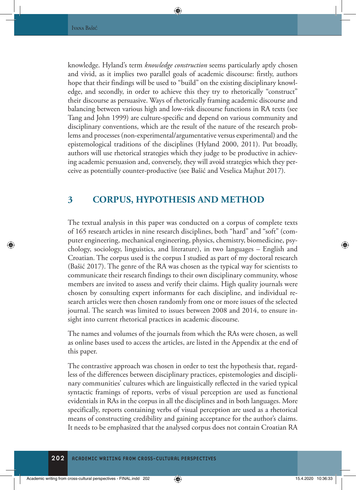knowledge. Hyland's term *knowledge construction* seems particularly aptly chosen and vivid, as it implies two parallel goals of academic discourse: firstly, authors hope that their findings will be used to "build" on the existing disciplinary knowledge, and secondly, in order to achieve this they try to rhetorically "construct" their discourse as persuasive. Ways of rhetorically framing academic discourse and balancing between various high and low-risk discourse functions in RA texts (see Tang and John 1999) are culture-specific and depend on various community and disciplinary conventions, which are the result of the nature of the research problems and processes (non-experimental/argumentative versus experimental) and the epistemological traditions of the disciplines (Hyland 2000, 2011). Put broadly, authors will use rhetorical strategies which they judge to be productive in achieving academic persuasion and, conversely, they will avoid strategies which they perceive as potentially counter-productive (see Bašić and Veselica Majhut 2017).

# **3 CORPUS, HYPOTHESIS AND METHOD**

The textual analysis in this paper was conducted on a corpus of complete texts of 165 research articles in nine research disciplines, both "hard" and "soft" (computer engineering, mechanical engineering, physics, chemistry, biomedicine, psychology, sociology, linguistics, and literature), in two languages – English and Croatian. The corpus used is the corpus I studied as part of my doctoral research (Bašić 2017). The genre of the RA was chosen as the typical way for scientists to communicate their research findings to their own disciplinary community, whose members are invited to assess and verify their claims. High quality journals were chosen by consulting expert informants for each discipline, and individual research articles were then chosen randomly from one or more issues of the selected journal. The search was limited to issues between 2008 and 2014, to ensure insight into current rhetorical practices in academic discourse.

The names and volumes of the journals from which the RAs were chosen, as well as online bases used to access the articles, are listed in the Appendix at the end of this paper.

The contrastive approach was chosen in order to test the hypothesis that, regardless of the differences between disciplinary practices, epistemologies and disciplinary communities' cultures which are linguistically reflected in the varied typical syntactic framings of reports, verbs of visual perception are used as functional evidentials in RAs in the corpus in all the disciplines and in both languages. More specifically, reports containing verbs of visual perception are used as a rhetorical means of constructing credibility and gaining acceptance for the author's claims. It needs to be emphasized that the analysed corpus does not contain Croatian RA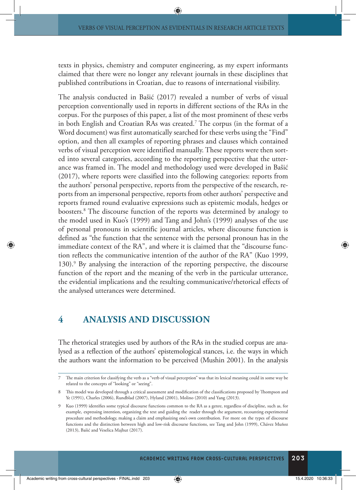texts in physics, chemistry and computer engineering, as my expert informants claimed that there were no longer any relevant journals in these disciplines that published contributions in Croatian, due to reasons of international visibility.

The analysis conducted in Bašić (2017) revealed a number of verbs of visual perception conventionally used in reports in different sections of the RAs in the corpus. For the purposes of this paper, a list of the most prominent of these verbs in both English and Croatian RAs was created.7 The corpus (in the format of a Word document) was first automatically searched for these verbs using the "Find" option, and then all examples of reporting phrases and clauses which contained verbs of visual perception were identified manually. These reports were then sorted into several categories, according to the reporting perspective that the utterance was framed in. The model and methodology used were developed in Bašić (2017), where reports were classified into the following categories: reports from the authors' personal perspective, reports from the perspective of the research, reports from an impersonal perspective, reports from other authors' perspective and reports framed round evaluative expressions such as epistemic modals, hedges or boosters.8 The discourse function of the reports was determined by analogy to the model used in Kuo's (1999) and Tang and John's (1999) analyses of the use of personal pronouns in scientific journal articles, where discourse function is defined as "the function that the sentence with the personal pronoun has in the immediate context of the RA", and where it is claimed that the "discourse function reflects the communicative intention of the author of the RA" (Kuo 1999, 130).<sup>9</sup> By analysing the interaction of the reporting perspective, the discourse function of the report and the meaning of the verb in the particular utterance, the evidential implications and the resulting communicative/rhetorical effects of the analysed utterances were determined.

# **4 ANALYSIS AND DISCUSSION**

The rhetorical strategies used by authors of the RAs in the studied corpus are analysed as a reflection of the authors' epistemological stances, i.e. the ways in which the authors want the information to be perceived (Mushin 2001). In the analysis

<sup>7</sup> The main criterion for classifying the verb as a "verb of visual perception" was that its lexical meaning could in some way be related to the concepts of "looking" or "seeing".

<sup>8</sup> This model was developed through a critical assessment and modification of the classifications proposed by Thompson and Ye (1991), Charles (2006), Rundblad (2007), Hyland (2001), Molino (2010) and Yang (2013).

<sup>9</sup> Kuo (1999) identifies some typical discourse functions common to the RA as a genre, regardless of discipline, such as, for example, expressing intention, organizing the text and guiding the reader through the argument, recounting experimental procedure and methodology, making a claim and emphasizing one's own contribution. For more on the types of discourse functions and the distinction between high and low-risk discourse functions, see Tang and John (1999), Chávez Muñoz (2013), Bašić and Veselica Majhut (2017).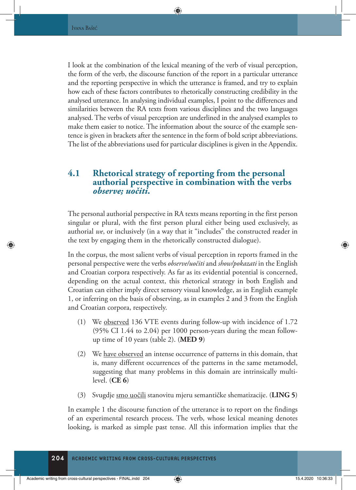I look at the combination of the lexical meaning of the verb of visual perception, the form of the verb, the discourse function of the report in a particular utterance and the reporting perspective in which the utterance is framed, and try to explain how each of these factors contributes to rhetorically constructing credibility in the analysed utterance. In analysing individual examples, I point to the differences and similarities between the RA texts from various disciplines and the two languages analysed. The verbs of visual perception are underlined in the analysed examples to make them easier to notice. The information about the source of the example sentence is given in brackets after the sentence in the form of bold script abbreviations. The list of the abbreviations used for particular disciplines is given in the Appendix.

# **4.1 Rhetorical strategy of reporting from the personal authorial perspective in combination with the verbs**  *observe; uočiti***.**

The personal authorial perspective in RA texts means reporting in the first person singular or plural, with the first person plural either being used exclusively, as authorial *we*, or inclusively (in a way that it "includes" the constructed reader in the text by engaging them in the rhetorically constructed dialogue).

In the corpus, the most salient verbs of visual perception in reports framed in the personal perspective were the verbs *observe/uočiti* and *show/pokazati* in the English and Croatian corpora respectively. As far as its evidential potential is concerned, depending on the actual context, this rhetorical strategy in both English and Croatian can either imply direct sensory visual knowledge, as in English example 1, or inferring on the basis of observing, as in examples 2 and 3 from the English and Croatian corpora, respectively.

- (1) We observed 136 VTE events during follow-up with incidence of 1.72 (95% CI 1.44 to 2.04) per 1000 person-years during the mean followup time of 10 years (table 2). (**MED 9**)
- (2) We have observed an intense occurrence of patterns in this domain, that is, many different occurrences of the patterns in the same metamodel, suggesting that many problems in this domain are intrinsically multilevel. (**CE 6**)
- (3) Svugdje smo uočili stanovitu mjeru semantičke shematizacije. (**LING 5**)

In example 1 the discourse function of the utterance is to report on the findings of an experimental research process. The verb, whose lexical meaning denotes looking, is marked as simple past tense. All this information implies that the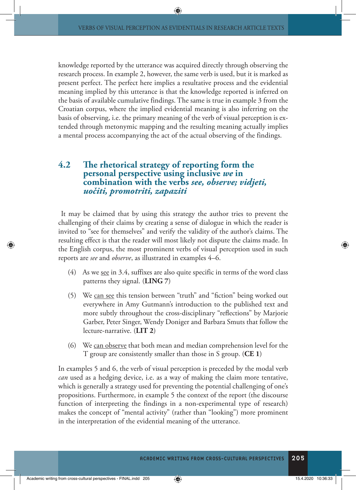knowledge reported by the utterance was acquired directly through observing the research process. In example 2, however, the same verb is used, but it is marked as present perfect. The perfect here implies a resultative process and the evidential meaning implied by this utterance is that the knowledge reported is inferred on the basis of available cumulative findings. The same is true in example 3 from the Croatian corpus, where the implied evidential meaning is also inferring on the basis of observing, i.e. the primary meaning of the verb of visual perception is extended through metonymic mapping and the resulting meaning actually implies a mental process accompanying the act of the actual observing of the findings.

# **4.2 The rhetorical strategy of reporting form the personal perspective using inclusive** *we* **in combination with the verbs** *see, observe; vidjeti, uočiti, promotriti, zapaziti*

 It may be claimed that by using this strategy the author tries to prevent the challenging of their claims by creating a sense of dialogue in which the reader is invited to "see for themselves" and verify the validity of the author's claims. The resulting effect is that the reader will most likely not dispute the claims made. In the English corpus, the most prominent verbs of visual perception used in such reports are *see* and *observe*, as illustrated in examples 4–6.

- (4) As we see in 3.4, suffixes are also quite specific in terms of the word class patterns they signal. (**LING 7**)
- (5) We can see this tension between "truth" and "fiction" being worked out everywhere in Amy Gutmann's introduction to the published text and more subtly throughout the cross-disciplinary "reflections" by Marjorie Garber, Peter Singer, Wendy Doniger and Barbara Smuts that follow the lecture-narrative. (**LIT 2**)
- (6) We can observe that both mean and median comprehension level for the T group are consistently smaller than those in S group. (**CE 1**)

In examples 5 and 6, the verb of visual perception is preceded by the modal verb *can* used as a hedging device, i.e. as a way of making the claim more tentative, which is generally a strategy used for preventing the potential challenging of one's propositions. Furthermore, in example 5 the context of the report (the discourse function of interpreting the findings in a non-experimental type of research) makes the concept of "mental activity" (rather than "looking") more prominent in the interpretation of the evidential meaning of the utterance.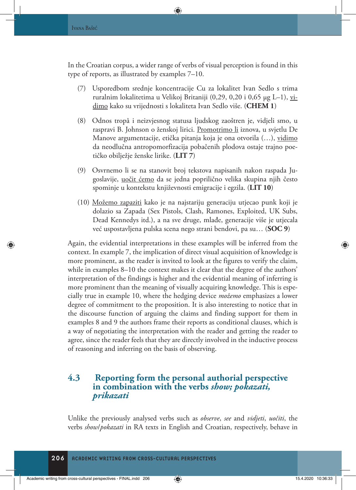In the Croatian corpus, a wider range of verbs of visual perception is found in this type of reports, as illustrated by examples 7–10.

- (7) Usporedbom srednje koncentracije Cu za lokalitet Ivan Sedlo s trima ruralnim lokalitetima u Velikoj Britaniji (0,29, 0,20 i 0,65 µg L–1), vidimo kako su vrijednosti s lokaliteta Ivan Sedlo više. (**CHEM 1**)
- (8) Odnos tropâ i neizvjesnog statusa ljudskog zaoštren je, vidjeli smo, u raspravi B. Johnson o ženskoj lirici. Promotrimo li iznova, u svjetlu De Manove argumentacije, etička pitanja koja je ona otvorila (…), vidimo da neodlučna antropomorfizacija pobačenih plodova ostaje trajno poetičko obilježje ženske lirike. (**LIT 7**)
- (9) Osvrnemo li se na stanovit broj tekstova napisanih nakon raspada Jugoslavije, uočit ćemo da se jedna poprilično velika skupina njih često spominje u kontekstu književnosti emigracije i egzila. (**LIT 10**)
- (10) Možemo zapaziti kako je na najstariju generaciju utjecao punk koji je dolazio sa Zapada (Sex Pistols, Clash, Ramones, Exploited, UK Subs, Dead Kennedys itd.), a na sve druge, mlađe, generacije više je utjecala već uspostavljena pulska scena nego strani bendovi, pa su… (**SOC 9**)

Again, the evidential interpretations in these examples will be inferred from the context. In example 7, the implication of direct visual acquisition of knowledge is more prominent, as the reader is invited to look at the figures to verify the claim, while in examples 8–10 the context makes it clear that the degree of the authors' interpretation of the findings is higher and the evidential meaning of inferring is more prominent than the meaning of visually acquiring knowledge. This is especially true in example 10, where the hedging device *možemo* emphasizes a lower degree of commitment to the proposition. It is also interesting to notice that in the discourse function of arguing the claims and finding support for them in examples 8 and 9 the authors frame their reports as conditional clauses, which is a way of negotiating the interpretation with the reader and getting the reader to agree, since the reader feels that they are directly involved in the inductive process of reasoning and inferring on the basis of observing.

# **4.3 Reporting form the personal authorial perspective in combination with the verbs** *show; pokazati, prikazati*

Unlike the previously analysed verbs such as *observe*, *see* and *vidjeti*, *uočiti*, the verbs *show*/*pokazati* in RA texts in English and Croatian, respectively, behave in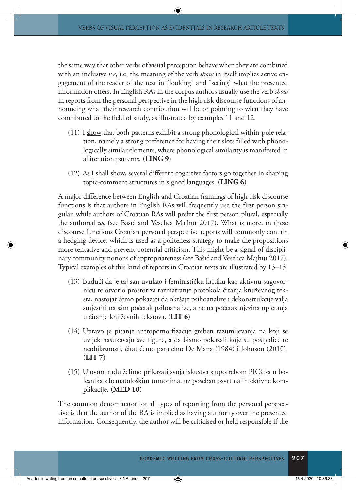the same way that other verbs of visual perception behave when they are combined with an inclusive *we*, i.e. the meaning of the verb *show* in itself implies active engagement of the reader of the text in "looking" and "seeing" what the presented information offers. In English RAs in the corpus authors usually use the verb *show* in reports from the personal perspective in the high-risk discourse functions of announcing what their research contribution will be or pointing to what they have contributed to the field of study, as illustrated by examples 11 and 12.

- (11) I show that both patterns exhibit a strong phonological within-pole relation, namely a strong preference for having their slots filled with phonologically similar elements, where phonological similarity is manifested in alliteration patterns. (**LING 9**)
- (12) As I shall show, several different cognitive factors go together in shaping topic-comment structures in signed languages. (**LING 6**)

A major difference between English and Croatian framings of high-risk discourse functions is that authors in English RAs will frequently use the first person singular, while authors of Croatian RAs will prefer the first person plural, especially the authorial *we* (see Bašić and Veselica Majhut 2017). What is more, in these discourse functions Croatian personal perspective reports will commonly contain a hedging device, which is used as a politeness strategy to make the propositions more tentative and prevent potential criticism. This might be a signal of disciplinary community notions of appropriateness (see Bašić and Veselica Majhut 2017). Typical examples of this kind of reports in Croatian texts are illustrated by 13–15.

- (13) Budući da je taj san uvukao i feminističku kritiku kao aktivnu sugovornicu te otvorio prostor za razmatranje protokola čitanja književnog teksta, <u>nastojat ćemo pokazati</u> da okršaje psihoanalize i dekonstrukcije valja smjestiti na sâm početak psihoanalize, a ne na početak njezina upletanja u čitanje književnih tekstova. (**LIT 6**)
- (14) Upravo je pitanje antropomorfizacije greben razumijevanja na koji se uvijek nasukavaju sve figure, a da bismo pokazali koje su posljedice te neobilaznosti, čitat ćemo paralelno De Mana (1984) i Johnson (2010). (**LIT 7**)
- (15) U ovom radu želimo prikazati svoja iskustva s upotrebom PICC-a u bolesnika s hematološkim tumorima, uz poseban osvrt na infektivne komplikacije. (**MED 10**)

The common denominator for all types of reporting from the personal perspective is that the author of the RA is implied as having authority over the presented information. Consequently, the author will be criticised or held responsible if the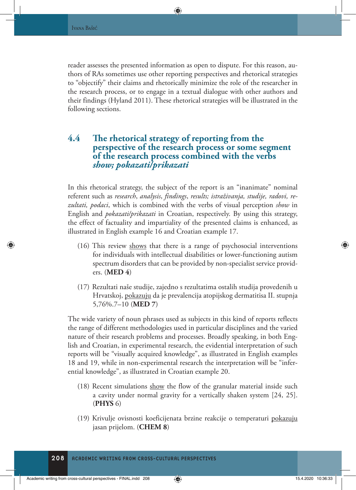reader assesses the presented information as open to dispute. For this reason, authors of RAs sometimes use other reporting perspectives and rhetorical strategies to "objectify" their claims and rhetorically minimize the role of the researcher in the research process, or to engage in a textual dialogue with other authors and their findings (Hyland 2011). These rhetorical strategies will be illustrated in the following sections.

# **4.4 The rhetorical strategy of reporting from the perspective of the research process or some segment of the research process combined with the verbs**  *show; pokazati/prikazati*

In this rhetorical strategy, the subject of the report is an "inanimate" nominal referent such as *research*, *analysis*, *findings*, *results; istraživanja, studije, radovi, rezultati, podaci*, which is combined with the verbs of visual perception *show* in English and *pokazati/prikazati* in Croatian, respectively. By using this strategy, the effect of factuality and impartiality of the presented claims is enhanced, as illustrated in English example 16 and Croatian example 17.

- (16) This review shows that there is a range of psychosocial interventions for individuals with intellectual disabilities or lower-functioning autism spectrum disorders that can be provided by non-specialist service providers. (**MED 4**)
- (17) Rezultati naše studije, zajedno s rezultatima ostalih studija provedenih u Hrvatskoj, pokazuju da je prevalencija atopijskog dermatitisa II. stupnja 5,76%.7–10 (**MED 7**)

The wide variety of noun phrases used as subjects in this kind of reports reflects the range of different methodologies used in particular disciplines and the varied nature of their research problems and processes. Broadly speaking, in both English and Croatian, in experimental research, the evidential interpretation of such reports will be "visually acquired knowledge", as illustrated in English examples 18 and 19, while in non-experimental research the interpretation will be "inferential knowledge", as illustrated in Croatian example 20.

- $(18)$  Recent simulations show the flow of the granular material inside such a cavity under normal gravity for a vertically shaken system [24, 25]. (**PHYS** 6)
- (19) Krivulje ovisnosti koeficijenata brzine reakcije o temperaturi pokazuju jasan prijelom. (**CHEM 8**)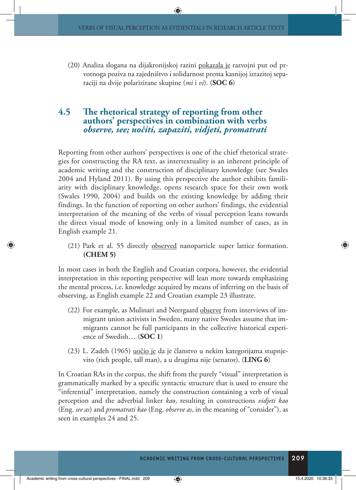(20) Analiza slogana na dijakronijskoj razini pokazala je razvojni put od prvotnoga poziva na zajedništvo i solidarnost prema kasnijoj izrazitoj separaciji na dvije polarizirane skupine (*mi* i *vi*). (**SOC 6**)

### **4.5 The rhetorical strategy of reporting from other authors' perspectives in combination with verbs**  *observe, see; uočiti, zapaziti, vidjeti, promatrati*

Reporting from other authors' perspectives is one of the chief rhetorical strategies for constructing the RA text, as intertextuality is an inherent principle of academic writing and the construction of disciplinary knowledge (see Swales 2004 and Hyland 2011). By using this perspective the author exhibits familiarity with disciplinary knowledge, opens research space for their own work (Swales 1990, 2004) and builds on the existing knowledge by adding their findings. In the function of reporting on other authors' findings, the evidential interpretation of the meaning of the verbs of visual perception leans towards the direct visual mode of knowing only in a limited number of cases, as in English example 21.

(21) Park et al. 55 directly observed nanoparticle super lattice formation. **(CHEM 5)**

In most cases in both the English and Croatian corpora, however, the evidential interpretation in this reporting perspective will lean more towards emphasizing the mental process, i.e. knowledge acquired by means of inferring on the basis of observing, as English example 22 and Croatian example 23 illustrate.

- (22) For example, as Mulinari and Neergaard observe from interviews of immigrant union activists in Sweden, many native Swedes assume that immigrants cannot be full participants in the collective historical experience of Swedish… (**SOC 1**)
- (23) L. Zadeh (1965) uočio je da je članstvo u nekim kategorijama stupnjevito (rich people, tall man), a u drugima nije (senator). (**LING 6**)

In Croatian RAs in the corpus, the shift from the purely "visual" interpretation is grammatically marked by a specific syntactic structure that is used to ensure the "inferential" interpretation, namely the construction containing a verb of visual perception and the adverbial linker *kao*, resulting in constructions *vidjeti kao* (Eng. *see as*) and *promatrati kao* (Eng. *observe as*, in the meaning of "consider"), as seen in examples 24 and 25.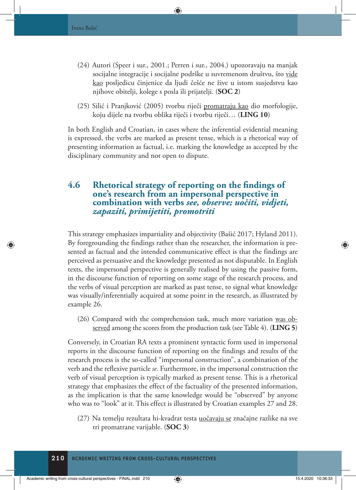- (24) Autori (Speer i sur., 2001.; Perren i sur., 2004.) upozoravaju na manjak socijalne integracije i socijalne podrške u suvremenom društvu, što <u>vide</u> kao posljedicu činjenice da ljudi češće ne žive u istom susjedstvu kao njihove obitelji, kolege s posla ili prijatelji. (**SOC 2**)
- (25) Silić i Pranjković (2005) tvorbu riječi promatraju kao dio morfologije, koju dijele na tvorbu oblika riječi i tvorbu riječi… (**LING 10**)

In both English and Croatian, in cases where the inferential evidential meaning is expressed, the verbs are marked as present tense, which is a rhetorical way of presenting information as factual, i.e. marking the knowledge as accepted by the disciplinary community and not open to dispute.

## **4.6 Rhetorical strategy of reporting on the findings of one's research from an impersonal perspective in combination with verbs** *see, observe; uočiti, vidjeti, zapaziti, primijetiti, promotriti*

This strategy emphasizes impartiality and objectivity (Bašić 2017; Hyland 2011). By foregrounding the findings rather than the researcher, the information is presented as factual and the intended communicative effect is that the findings are perceived as persuasive and the knowledge presented as not disputable. In English texts, the impersonal perspective is generally realised by using the passive form, in the discourse function of reporting on some stage of the research process, and the verbs of visual perception are marked as past tense, to signal what knowledge was visually/inferentially acquired at some point in the research, as illustrated by example 26.

(26) Compared with the comprehension task, much more variation was observed among the scores from the production task (see Table 4). (**LING 5**)

Conversely, in Croatian RA texts a prominent syntactic form used in impersonal reports in the discourse function of reporting on the findings and results of the research process is the so-called "impersonal construction", a combination of the verb and the reflexive particle *se*. Furthermore, in the impersonal construction the verb of visual perception is typically marked as present tense. This is a rhetorical strategy that emphasizes the effect of the factuality of the presented information, as the implication is that the same knowledge would be "observed" by anyone who was to "look" at it. This effect is illustrated by Croatian examples 27 and 28.

(27) Na temelju rezultata hi-kvadrat testa uočavaju se značajne razlike na sve tri promatrane varijable. (**SOC 3**)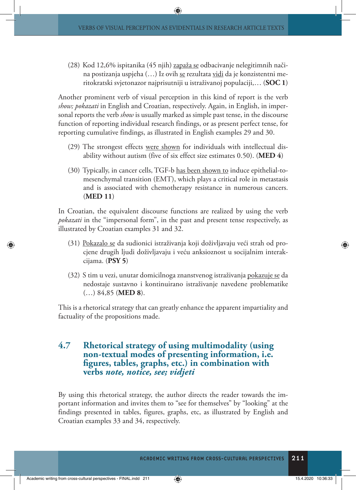(28) Kod 12,6% ispitanika (45 njih) zapaža se odbacivanje nelegitimnih načina postizanja uspjeha (...) Iz ovih <u>se</u> rezultata <u>vidi</u> da je konzistentni meritokratski svjetonazor najprisutniji u istraživanoj populaciji,… (**SOC 1**)

Another prominent verb of visual perception in this kind of report is the verb *show; pokazati* in English and Croatian, respectively. Again, in English, in impersonal reports the verb *show* is usually marked as simple past tense, in the discourse function of reporting individual research findings, or as present perfect tense, for reporting cumulative findings, as illustrated in English examples 29 and 30.

- (29) The strongest effects were shown for individuals with intellectual disability without autism (five of six effect size estimates 0.50). (**MED 4**)
- (30) Typically, in cancer cells, TGF-b has been shown to induce epithelial-tomesenchymal transition (EMT), which plays a critical role in metastasis and is associated with chemotherapy resistance in numerous cancers. (**MED 11**)

In Croatian, the equivalent discourse functions are realized by using the verb *pokazati* in the "impersonal form", in the past and present tense respectively, as illustrated by Croatian examples 31 and 32.

- (31) Pokazalo se da sudionici istraživanja koji doživljavaju veći strah od procjene drugih ljudi doživljavaju i veću anksioznost u socijalnim interakcijama. (**PSY 5**)
- (32) S tim u vezi, unutar domicilnoga znanstvenog istraživanja pokazuje se da nedostaje sustavno i kontinuirano istraživanje navedene problematike (…) 84,85 (**MED 8**).

This is a rhetorical strategy that can greatly enhance the apparent impartiality and factuality of the propositions made.

### **4.7 Rhetorical strategy of using multimodality (using non-textual modes of presenting information, i.e. figures, tables, graphs, etc.) in combination with verbs** *note, notice, see; vidjeti*

By using this rhetorical strategy, the author directs the reader towards the important information and invites them to "see for themselves" by "looking" at the findings presented in tables, figures, graphs, etc, as illustrated by English and Croatian examples 33 and 34, respectively.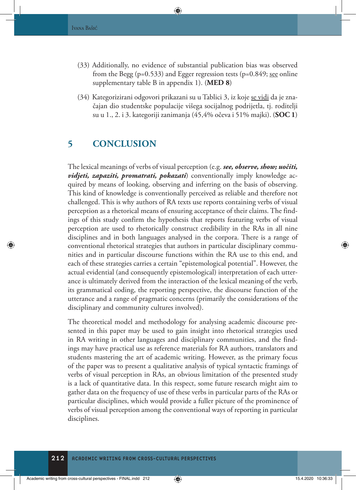- (33) Additionally, no evidence of substantial publication bias was observed from the Begg ( $p=0.533$ ) and Egger regression tests ( $p=0.849$ ; see online supplementary table B in appendix 1). (**MED 8**)
- (34) Kategorizirani odgovori prikazani su u Tablici 3, iz koje se vidi da je značajan dio studentske populacije višega socijalnog podrijetla, tj. roditelji su u 1., 2. i 3. kategoriji zanimanja (45,4% očeva i 51% majki). (**SOC 1**)

# **5 CONCLUSION**

The lexical meanings of verbs of visual perception (e.g. *see, observe, show; uočiti, vidjeti, zapaziti, promatrati, pokazati*) conventionally imply knowledge acquired by means of looking, observing and inferring on the basis of observing. This kind of knowledge is conventionally perceived as reliable and therefore not challenged. This is why authors of RA texts use reports containing verbs of visual perception as a rhetorical means of ensuring acceptance of their claims. The findings of this study confirm the hypothesis that reports featuring verbs of visual perception are used to rhetorically construct credibility in the RAs in all nine disciplines and in both languages analysed in the corpora. There is a range of conventional rhetorical strategies that authors in particular disciplinary communities and in particular discourse functions within the RA use to this end, and each of these strategies carries a certain "epistemological potential". However, the actual evidential (and consequently epistemological) interpretation of each utterance is ultimately derived from the interaction of the lexical meaning of the verb, its grammatical coding, the reporting perspective, the discourse function of the utterance and a range of pragmatic concerns (primarily the considerations of the disciplinary and community cultures involved).

The theoretical model and methodology for analysing academic discourse presented in this paper may be used to gain insight into rhetorical strategies used in RA writing in other languages and disciplinary communities, and the findings may have practical use as reference materials for RA authors, translators and students mastering the art of academic writing. However, as the primary focus of the paper was to present a qualitative analysis of typical syntactic framings of verbs of visual perception in RAs, an obvious limitation of the presented study is a lack of quantitative data. In this respect, some future research might aim to gather data on the frequency of use of these verbs in particular parts of the RAs or particular disciplines, which would provide a fuller picture of the prominence of verbs of visual perception among the conventional ways of reporting in particular disciplines.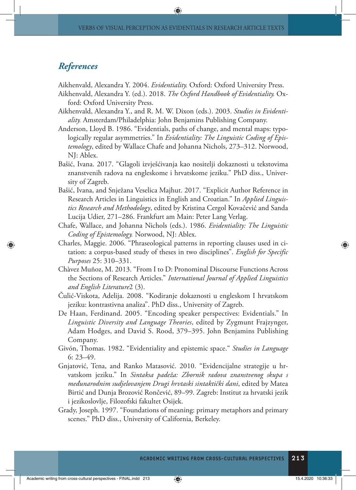#### *References*

Aikhenvald, Alexandra Y. 2004. *Evidentiality.* Oxford: Oxford University Press.

- Aikhenvald, Alexandra Y. (ed.). 2018. *The Oxford Handbook of Evidentiality.* Oxford: Oxford University Press.
- Aikhenvald, Alexandra Y., and R. M. W. Dixon (eds.). 2003. *Studies in Evidentiality.* Amsterdam/Philadelphia: John Benjamins Publishing Company.
- Anderson, Lloyd B. 1986. "Evidentials, paths of change, and mental maps: typologically regular asymmetries." In *Evidentiality: The Linguistic Coding of Epistemology*, edited by Wallace Chafe and Johanna Nichols, 273–312. Norwood, NJ: Ablex.
- Bašić, Ivana. 2017. "Glagoli izvješćivanja kao nositelji dokaznosti u tekstovima znanstvenih radova na engleskome i hrvatskome jeziku." PhD diss., University of Zagreb.
- Bašić, Ivana, and Snježana Veselica Majhut. 2017. "Explicit Author Reference in Research Articles in Linguistics in English and Croatian." In *Applied Linguistics Research and Methodology*, edited by Kristina Cergol Kovačević and Sanda Lucija Udier, 271–286. Frankfurt am Main: Peter Lang Verlag.
- Chafe, Wallace, and Johanna Nichols (eds.). 1986. *Evidentiality: The Linguistic Coding of Epistemology.* Norwood, NJ: Ablex.
- Charles, Maggie. 2006. "Phraseological patterns in reporting clauses used in citation: a corpus-based study of theses in two disciplines". *English for Specific Purposes* 25: 310–331.
- Chàvez Muñoz, M. 2013. "From I to D: Pronominal Discourse Functions Across the Sections of Research Articles." *International Journal of Applied Linguistics and English Literature*2 (3).
- Čulić-Viskota, Adelija. 2008. "Kodiranje dokaznosti u engleskom I hrvatskom jeziku: kontrastivna analiza". PhD diss., University of Zagreb.
- De Haan, Ferdinand. 2005. "Encoding speaker perspectives: Evidentials." In *Linguistic Diversity and Language Theories*, edited by Zygmunt Frajzynger, Adam Hodges, and David S. Rood, 379–395. John Benjamins Publishing Company.
- Givón, Thomas. 1982. "Evidentiality and epistemic space." *Studies in Language*  6: 23–49.
- Gnjatović, Tena, and Ranko Matasović. 2010. "Evidencijalne strategije u hrvatskom jeziku." In *Sintaksa padeža: Zbornik radova znanstvenog skupa s međunarodnim sudjelovanjem Drugi hrvtaski sintaktički dani*, edited by Matea Birtić and Dunja Brozović Rončević, 89–99. Zagreb: Institut za hrvatski jezik i jezikoslovlje, Filozofski fakultet Osijek.
- Grady, Joseph. 1997. "Foundations of meaning: primary metaphors and primary scenes." PhD diss., University of California, Berkeley.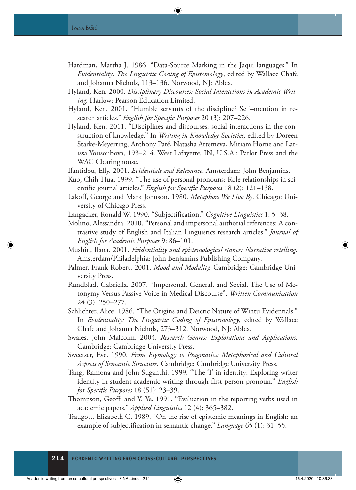- Hardman, Martha J. 1986. "Data-Source Marking in the Jaqui languages." In *Evidentiality: The Linguistic Coding of Epistemology*, edited by Wallace Chafe and Johanna Nichols, 113–136. Norwood, NJ: Ablex.
- Hyland, Ken. 2000. *Disciplinary Discourses: Social Interactions in Academic Writing.* Harlow: Pearson Education Limited.
- Hyland, Ken. 2001. "Humble servants of the discipline? Self–mention in research articles." *English for Specific Purposes* 20 (3): 207–226.
- Hyland, Ken. 2011. "Disciplines and discourses: social interactions in the construction of knowledge." In *Writing in Knowledge Societies,* edited by Doreen Starke-Meyerring, Anthony Paré, Natasha Artemeva, Miriam Horne and Larissa Yousoubova, 193–214. West Lafayette, IN, U.S.A.: Parlor Press and the WAC Clearinghouse.
- Ifantidou, Elly. 2001. *Evidentials and Relevance*. Amsterdam: John Benjamins.
- Kuo, Chih-Hua. 1999. "The use of personal pronouns: Role relationships in scientific journal articles." *English for Specific Purposes* 18 (2): 121–138.
- Lakoff, George and Mark Johnson. 1980. *Metaphors We Live By*. Chicago: University of Chicago Press.
- Langacker, Ronald W. 1990. "Subjectification." *Cognitive Linguistics* 1: 5–38.
- Molino, Alessandra. 2010. "Personal and impersonal authorial references: A contrastive study of English and Italian Linguistics research articles." *Journal of English for Academic Purposes* 9: 86–101.
- Mushin, Ilana. 2001. *Evidentiality and epistemological stance: Narrative retelling.* Amsterdam/Philadelphia: John Benjamins Publishing Company.
- Palmer, Frank Robert. 2001. *Mood and Modality.* Cambridge: Cambridge University Press.
- Rundblad, Gabriella. 2007. "Impersonal, General, and Social. The Use of Metonymy Versus Passive Voice in Medical Discourse". *Written Communication* 24 (3): 250–277.
- Schlichter, Alice. 1986. "The Origins and Deictic Nature of Wintu Evidentials." In *Evidentiality: The Linguistic Coding of Epistemology*, edited by Wallace Chafe and Johanna Nichols, 273–312. Norwood, NJ: Ablex.
- Swales, John Malcolm. 2004. *Research Genres: Explorations and Applications.*  Cambridge: Cambridge University Press.
- Sweetser, Eve. 1990. *From Etymology to Pragmatics: Metaphorical and Cultural Aspects of Semantic Structure.* Cambridge: Cambridge University Press.
- Tang, Ramona and John Suganthi. 1999. "The 'I' in identity: Exploring writer identity in student academic writing through first person pronoun." *English for Specific Purposes* 18 (S1): 23–39.
- Thompson, Geoff, and Y. Ye. 1991. "Evaluation in the reporting verbs used in academic papers." *Applied Linguistics* 12 (4): 365–382.
- Traugott, Elizabeth C. 1989. "On the rise of epistemic meanings in English: an example of subjectification in semantic change." *Language* 65 (1): 31–55.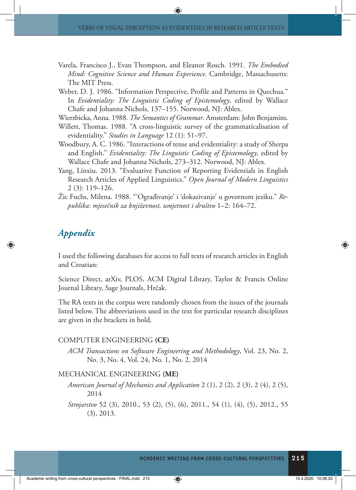- Varela, Francisco J., Evan Thompson, and Eleanor Rosch. 1991. *The Embodied Mind: Cognitive Science and Human Experience.* Cambridge, Massachusetts: The MIT Press.
- Weber, D. J. 1986. "Information Perspective, Profile and Patterns in Quechua." In *Evidentiality: The Linguistic Coding of Epistemology*, edited by Wallace Chafe and Johanna Nichols, 137–155. Norwood, NJ: Ablex.

Wierzbicka, Anna. 1988. *The Semantics of Grammar*. Amsterdam: John Benjamins.

- Willett, Thomas. 1988. "A cross-linguistic survey of the grammaticalisation of evidentiality." *Studies in Language* 12 (1): 51–97.
- Woodbury, A. C. 1986. "Interactions of tense and evidentiality: a study of Sherpa and English." *Evidentiality: The Linguistic Coding of Epistemology*, edited by Wallace Chafe and Johanna Nichols, 273–312. Norwood, NJ: Ablex.
- Yang, Linxiu. 2013. "Evaluative Function of Reporting Evidentials in English Research Articles of Applied Linguistics." *Open Journal of Modern Linguistics*  2 (3): 119–126.
- Žic Fuchs, Milena. 1988. "'Ograđivanje' i 'dokazivanje' u govornom jeziku." *Republika: mjesečnik za književnost, umjetnost i društvo* 1–2: 164–72.

# *Appendix*

I used the following databases for access to full texts of research articles in English and Croatian:

Science Direct, arXiv, PLOS, ACM Digital Library, Taylor & Francis Online Journal Library, Sage Journals, Hrčak.

The RA texts in the corpus were randomly chosen from the issues of the journals listed below. The abbreviations used in the text for particular research disciplines are given in the brackets in bold.

#### COMPUTER ENGINEERING **(CE)**

*ACM Transactions on Software Engineering and Methodology*, Vol. 23, No. 2, No. 3, No. 4, Vol. 24, No. 1, No. 2, 2014

#### MECHANICAL ENGINEERING **(ME)**

*American Journal of Mechanics and Application* 2 (1), 2 (2), 2 (3), 2 (4), 2 (5), 2014

*Strojarstvo* 52 (3), 2010., 53 (2), (5), (6), 2011., 54 (1), (4), (5), 2012., 55 (3), 2013.